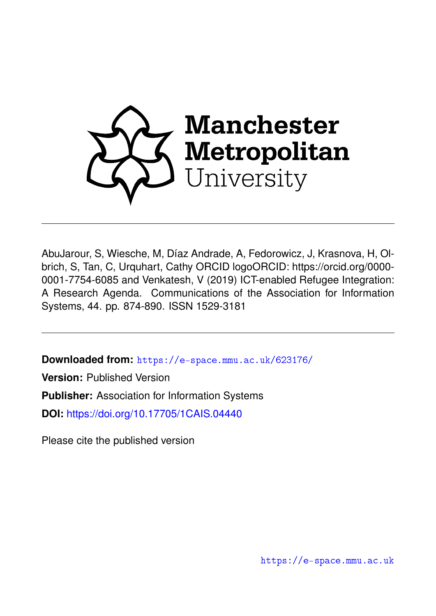

AbuJarour, S, Wiesche, M, Díaz Andrade, A, Fedorowicz, J, Krasnova, H, Olbrich, S, Tan, C, Urquhart, Cathy ORCID logoORCID: https://orcid.org/0000- 0001-7754-6085 and Venkatesh, V (2019) ICT-enabled Refugee Integration: A Research Agenda. Communications of the Association for Information Systems, 44. pp. 874-890. ISSN 1529-3181

**Downloaded from:** <https://e-space.mmu.ac.uk/623176/>

**Version:** Published Version

**Publisher:** Association for Information Systems

**DOI:** <https://doi.org/10.17705/1CAIS.04440>

Please cite the published version

<https://e-space.mmu.ac.uk>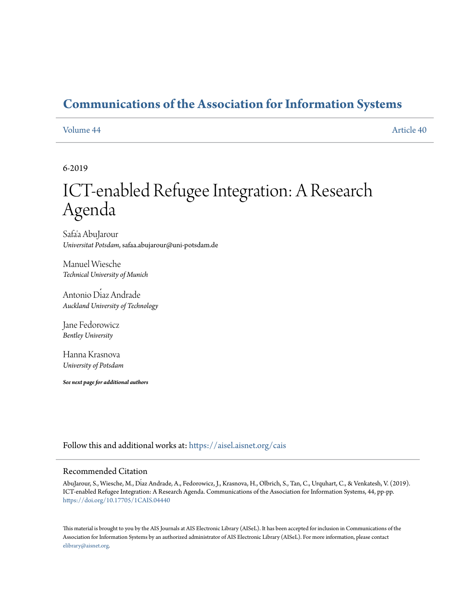# **[Communications of the Association for Information Systems](https://aisel.aisnet.org/cais?utm_source=aisel.aisnet.org%2Fcais%2Fvol44%2Fiss1%2F40&utm_medium=PDF&utm_campaign=PDFCoverPages)**

[Volume 44](https://aisel.aisnet.org/cais/vol44?utm_source=aisel.aisnet.org%2Fcais%2Fvol44%2Fiss1%2F40&utm_medium=PDF&utm_campaign=PDFCoverPages) [Article 40](https://aisel.aisnet.org/cais/vol44/iss1/40?utm_source=aisel.aisnet.org%2Fcais%2Fvol44%2Fiss1%2F40&utm_medium=PDF&utm_campaign=PDFCoverPages)

#### 6-2019

# ICT-enabled Refugee Integration: A Research Agenda

Safa'a AbuJarour *Universitat Potsdam*, safaa.abujarour@uni-potsdam.de

Manuel Wiesche *Technical University of Munich*

Antonio Díaz Andrade *Auckland University of Technology*

Jane Fedorowicz *Bentley University*

Hanna Krasnova *University of Potsdam*

*See next page for additional authors*

Follow this and additional works at: [https://aisel.aisnet.org/cais](https://aisel.aisnet.org/cais?utm_source=aisel.aisnet.org%2Fcais%2Fvol44%2Fiss1%2F40&utm_medium=PDF&utm_campaign=PDFCoverPages)

#### Recommended Citation

AbuJarour, S., Wiesche, M., Díaz Andrade, A., Fedorowicz, J., Krasnova, H., Olbrich, S., Tan, C., Urquhart, C., & Venkatesh, V. (2019). ICT-enabled Refugee Integration: A Research Agenda. Communications of the Association for Information Systems, 44, pp-pp. <https://doi.org/10.17705/1CAIS.04440>

This material is brought to you by the AIS Journals at AIS Electronic Library (AISeL). It has been accepted for inclusion in Communications of the Association for Information Systems by an authorized administrator of AIS Electronic Library (AISeL). For more information, please contact [elibrary@aisnet.org.](mailto:elibrary@aisnet.org%3E)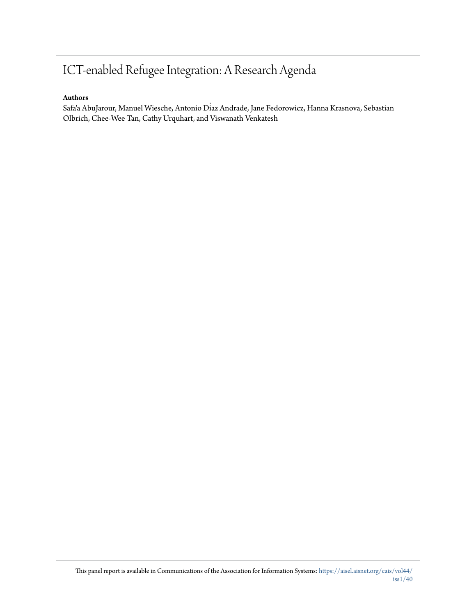# ICT-enabled Refugee Integration: A Research Agenda

#### **Authors**

Safa'a AbuJarour, Manuel Wiesche, Antonio Díaz Andrade, Jane Fedorowicz, Hanna Krasnova, Sebastian Olbrich, Chee-Wee Tan, Cathy Urquhart, and Viswanath Venkatesh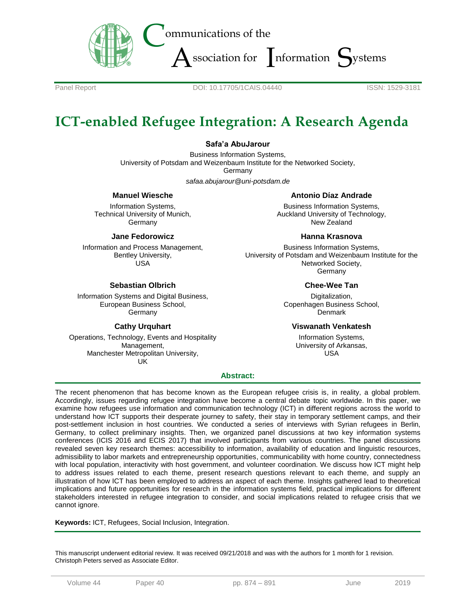

Panel Report **DOI: 10.17705/1CAIS.04440** ISSN: 1529-3181

# **ICT-enabled Refugee Integration: A Research Agenda**

#### **Safa'a AbuJarour**

Business Information Systems, University of Potsdam and Weizenbaum Institute for the Networked Society, **Germany** 

*safaa.abujarour@uni-potsdam.de*

#### **Manuel Wiesche**

Information Systems, Technical University of Munich, **Germany** 

#### **Jane Fedorowicz**

Information and Process Management, Bentley University, USA

#### **Sebastian Olbrich**

Information Systems and Digital Business, European Business School, **Germany** 

#### **Cathy Urquhart**

Operations, Technology, Events and Hospitality Management, Manchester Metropolitan University, UK

#### **Antonio Díaz Andrade**

Business Information Systems, Auckland University of Technology, New Zealand

#### **Hanna Krasnova**

Business Information Systems, University of Potsdam and Weizenbaum Institute for the Networked Society, Germany

#### **Chee-Wee Tan**

Digitalization, Copenhagen Business School, Denmark

#### **Viswanath Venkatesh**

Information Systems, University of Arkansas, USA

#### **Abstract:**

The recent phenomenon that has become known as the European refugee crisis is, in reality, a global problem. Accordingly, issues regarding refugee integration have become a central debate topic worldwide. In this paper, we examine how refugees use information and communication technology (ICT) in different regions across the world to understand how ICT supports their desperate journey to safety, their stay in temporary settlement camps, and their post-settlement inclusion in host countries. We conducted a series of interviews with Syrian refugees in Berlin, Germany, to collect preliminary insights. Then, we organized panel discussions at two key information systems conferences (ICIS 2016 and ECIS 2017) that involved participants from various countries. The panel discussions revealed seven key research themes: accessibility to information, availability of education and linguistic resources, admissibility to labor markets and entrepreneurship opportunities, communicability with home country, connectedness with local population, interactivity with host government, and volunteer coordination. We discuss how ICT might help to address issues related to each theme, present research questions relevant to each theme, and supply an illustration of how ICT has been employed to address an aspect of each theme. Insights gathered lead to theoretical implications and future opportunities for research in the information systems field, practical implications for different stakeholders interested in refugee integration to consider, and social implications related to refugee crisis that we cannot ignore.

**Keywords:** ICT, Refugees, Social Inclusion, Integration.

This manuscript underwent editorial review. It was received 09/21/2018 and was with the authors for 1 month for 1 revision. Christoph Peters served as Associate Editor.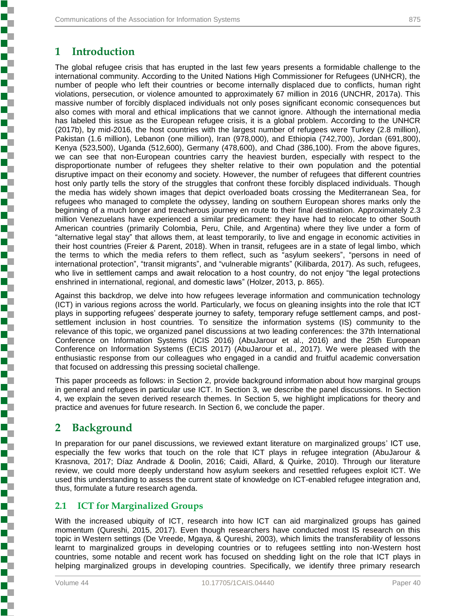# **1 Introduction**

The global refugee crisis that has erupted in the last few years presents a formidable challenge to the international community. According to the United Nations High Commissioner for Refugees (UNHCR), the number of people who left their countries or become internally displaced due to conflicts, human right violations, persecution, or violence amounted to approximately 67 million in 2016 (UNCHR, 2017a). This massive number of forcibly displaced individuals not only poses significant economic consequences but also comes with moral and ethical implications that we cannot ignore. Although the international media has labeled this issue as the European refugee crisis, it is a global problem. According to the UNHCR (2017b), by mid-2016, the host countries with the largest number of refugees were Turkey (2.8 million), Pakistan (1.6 million), Lebanon (one million), Iran (978,000), and Ethiopia (742,700), Jordan (691,800), Kenya (523,500), Uganda (512,600), Germany (478,600), and Chad (386,100). From the above figures, we can see that non-European countries carry the heaviest burden, especially with respect to the disproportionate number of refugees they shelter relative to their own population and the potential disruptive impact on their economy and society. However, the number of refugees that different countries host only partly tells the story of the struggles that confront these forcibly displaced individuals. Though the media has widely shown images that depict overloaded boats crossing the Mediterranean Sea, for refugees who managed to complete the odyssey, landing on southern European shores marks only the beginning of a much longer and treacherous journey en route to their final destination. Approximately 2.3 million Venezuelans have experienced a similar predicament: they have had to relocate to other South American countries (primarily Colombia, Peru, Chile, and Argentina) where they live under a form of "alternative legal stay" that allows them, at least temporarily, to live and engage in economic activities in their host countries (Freier & Parent, 2018). When in transit, refugees are in a state of legal limbo, which the terms to which the media refers to them reflect, such as "asylum seekers", "persons in need of international protection", "transit migrants", and "vulnerable migrants" (Kilibarda, 2017). As such, refugees, who live in settlement camps and await relocation to a host country, do not enjoy "the legal protections enshrined in international, regional, and domestic laws" (Holzer, 2013, p. 865).

Against this backdrop, we delve into how refugees leverage information and communication technology (ICT) in various regions across the world. Particularly, we focus on gleaning insights into the role that ICT plays in supporting refugees' desperate journey to safety, temporary refuge settlement camps, and postsettlement inclusion in host countries. To sensitize the information systems (IS) community to the relevance of this topic, we organized panel discussions at two leading conferences: the 37th International Conference on Information Systems (ICIS 2016) (AbuJarour et al., 2016) and the 25th European Conference on Information Systems (ECIS 2017) (AbuJarour et al., 2017). We were pleased with the enthusiastic response from our colleagues who engaged in a candid and fruitful academic conversation that focused on addressing this pressing societal challenge.

This paper proceeds as follows: in Section 2, provide background information about how marginal groups in general and refugees in particular use ICT. In Section 3, we describe the panel discussions. In Section 4, we explain the seven derived research themes. In Section 5, we highlight implications for theory and practice and avenues for future research. In Section 6, we conclude the paper.

## **2 Background**

**Experience in the property of the construction of the construction of the construction of the construction of the construction of the construction of the construction of the construction of the construction of the constru** 

In preparation for our panel discussions, we reviewed extant literature on marginalized groups' ICT use, especially the few works that touch on the role that ICT plays in refugee integration (AbuJarour & Krasnova, 2017; Díaz Andrade & Doolin, 2016; Caidi, Allard, & Quirke, 2010). Through our literature review, we could more deeply understand how asylum seekers and resettled refugees exploit ICT. We used this understanding to assess the current state of knowledge on ICT-enabled refugee integration and, thus, formulate a future research agenda.

#### **2.1 ICT for Marginalized Groups**

With the increased ubiquity of ICT, research into how ICT can aid marginalized groups has gained momentum (Qureshi, 2015, 2017). Even though researchers have conducted most IS research on this topic in Western settings (De Vreede, Mgaya, & Qureshi, 2003), which limits the transferability of lessons learnt to marginalized groups in developing countries or to refugees settling into non-Western host countries, some notable and recent work has focused on shedding light on the role that ICT plays in helping marginalized groups in developing countries. Specifically, we identify three primary research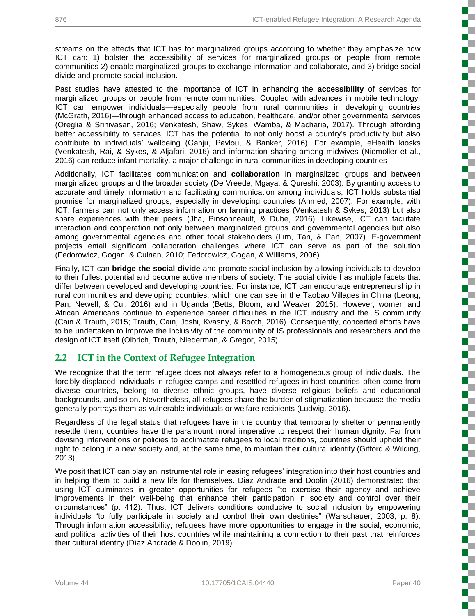streams on the effects that ICT has for marginalized groups according to whether they emphasize how ICT can: 1) bolster the accessibility of services for marginalized groups or people from remote communities 2) enable marginalized groups to exchange information and collaborate, and 3) bridge social divide and promote social inclusion.

Past studies have attested to the importance of ICT in enhancing the **accessibility** of services for marginalized groups or people from remote communities. Coupled with advances in mobile technology, ICT can empower individuals—especially people from rural communities in developing countries (McGrath, 2016)—through enhanced access to education, healthcare, and/or other governmental services (Oreglia & Srinivasan, 2016; Venkatesh, Shaw, Sykes, Wamba, & Macharia, 2017). Through affording better accessibility to services, ICT has the potential to not only boost a country's productivity but also contribute to individuals' wellbeing (Ganju, Pavlou, & Banker, 2016). For example, eHealth kiosks (Venkatesh, Rai, & Sykes, & Aljafari, 2016) and information sharing among midwives (Niemöller et al., 2016) can reduce infant mortality, a major challenge in rural communities in developing countries

Additionally, ICT facilitates communication and **collaboration** in marginalized groups and between marginalized groups and the broader society (De Vreede, Mgaya, & Qureshi, 2003). By granting access to accurate and timely information and facilitating communication among individuals, ICT holds substantial promise for marginalized groups, especially in developing countries (Ahmed, 2007). For example, with ICT, farmers can not only access information on farming practices (Venkatesh & Sykes, 2013) but also share experiences with their peers (Jha, Pinsonneault, & Dube, 2016). Likewise, ICT can facilitate interaction and cooperation not only between marginalized groups and governmental agencies but also among governmental agencies and other focal stakeholders (Lim, Tan, & Pan, 2007). E-government projects entail significant collaboration challenges where ICT can serve as part of the solution (Fedorowicz, Gogan, & Culnan, 2010; Fedorowicz, Gogan, & Williams, 2006).

Finally, ICT can **bridge the social divide** and promote social inclusion by allowing individuals to develop to their fullest potential and become active members of society. The social divide has multiple facets that differ between developed and developing countries. For instance, ICT can encourage entrepreneurship in rural communities and developing countries, which one can see in the Taobao Villages in China (Leong, Pan, Newell, & Cui, 2016) and in Uganda (Betts, Bloom, and Weaver, 2015). However, women and African Americans continue to experience career difficulties in the ICT industry and the IS community (Cain & Trauth, 2015; Trauth, Cain, Joshi, Kvasny, & Booth, 2016). Consequently, concerted efforts have to be undertaken to improve the inclusivity of the community of IS professionals and researchers and the design of ICT itself (Olbrich, Trauth, Niederman, & Gregor, 2015).

#### **2.2 ICT in the Context of Refugee Integration**

We recognize that the term refugee does not always refer to a homogeneous group of individuals. The forcibly displaced individuals in refugee camps and resettled refugees in host countries often come from diverse countries, belong to diverse ethnic groups, have diverse religious beliefs and educational backgrounds, and so on. Nevertheless, all refugees share the burden of stigmatization because the media generally portrays them as vulnerable individuals or welfare recipients (Ludwig, 2016).

Regardless of the legal status that refugees have in the country that temporarily shelter or permanently resettle them, countries have the paramount moral imperative to respect their human dignity. Far from devising interventions or policies to acclimatize refugees to local traditions, countries should uphold their right to belong in a new society and, at the same time, to maintain their cultural identity (Gifford & Wilding, 2013).

We posit that ICT can play an instrumental role in easing refugees' integration into their host countries and in helping them to build a new life for themselves. Diaz Andrade and Doolin (2016) demonstrated that using ICT culminates in greater opportunities for refugees "to exercise their agency and achieve improvements in their well-being that enhance their participation in society and control over their circumstances" (p. 412). Thus, ICT delivers conditions conducive to social inclusion by empowering individuals "to fully participate in society and control their own destinies" (Warschauer, 2003, p. 8). Through information accessibility, refugees have more opportunities to engage in the social, economic, and political activities of their host countries while maintaining a connection to their past that reinforces their cultural identity (Díaz Andrade & Doolin, 2019).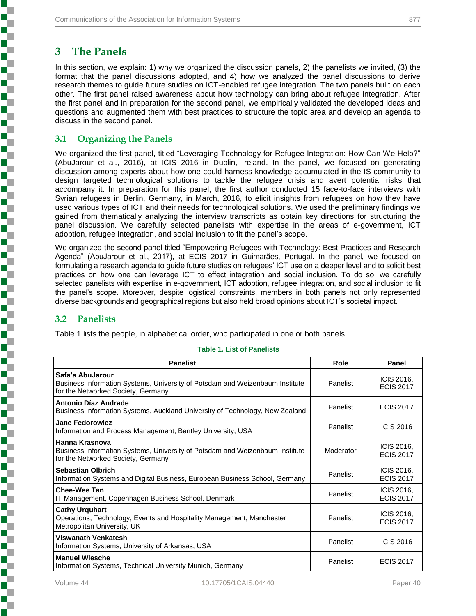# **3 The Panels**

In this section, we explain: 1) why we organized the discussion panels, 2) the panelists we invited, (3) the format that the panel discussions adopted, and 4) how we analyzed the panel discussions to derive research themes to guide future studies on ICT-enabled refugee integration. The two panels built on each other. The first panel raised awareness about how technology can bring about refugee integration. After the first panel and in preparation for the second panel, we empirically validated the developed ideas and questions and augmented them with best practices to structure the topic area and develop an agenda to discuss in the second panel.

#### **3.1 Organizing the Panels**

We organized the first panel, titled "Leveraging Technology for Refugee Integration: How Can We Help?" (AbuJarour et al., 2016), at ICIS 2016 in Dublin, Ireland. In the panel, we focused on generating discussion among experts about how one could harness knowledge accumulated in the IS community to design targeted technological solutions to tackle the refugee crisis and avert potential risks that accompany it. In preparation for this panel, the first author conducted 15 face-to-face interviews with Syrian refugees in Berlin, Germany, in March, 2016, to elicit insights from refugees on how they have used various types of ICT and their needs for technological solutions. We used the preliminary findings we gained from thematically analyzing the interview transcripts as obtain key directions for structuring the panel discussion. We carefully selected panelists with expertise in the areas of e-government, ICT adoption, refugee integration, and social inclusion to fit the panel's scope.

We organized the second panel titled "Empowering Refugees with Technology: Best Practices and Research Agenda" (AbuJarour et al., 2017), at ECIS 2017 in Guimarães, Portugal. In the panel, we focused on formulating a research agenda to guide future studies on refugees' ICT use on a deeper level and to solicit best practices on how one can leverage ICT to effect integration and social inclusion. To do so, we carefully selected panelists with expertise in e-government, ICT adoption, refugee integration, and social inclusion to fit the panel's scope. Moreover, despite logistical constraints, members in both panels not only represented diverse backgrounds and geographical regions but also held broad opinions about ICT's societal impact.

#### **3.2 Panelists**

**Production of the production of the production of the production of the company's company's company's company's company's company's company's company's company's company's company's company's company's company's company's** 

[Table 1](#page-6-0) lists the people, in alphabetical order, who participated in one or both panels.

<span id="page-6-0"></span>

| <b>Panelist</b>                                                                                                                        | Role      | Panel                          |
|----------------------------------------------------------------------------------------------------------------------------------------|-----------|--------------------------------|
| Safa'a AbuJarour<br>Business Information Systems, University of Potsdam and Weizenbaum Institute<br>for the Networked Society, Germany | Panelist  | ICIS 2016,<br><b>ECIS 2017</b> |
| Antonio Díaz Andrade<br>Business Information Systems, Auckland University of Technology, New Zealand                                   | Panelist  | <b>ECIS 2017</b>               |
| <b>Jane Fedorowicz</b><br>Information and Process Management, Bentley University, USA                                                  | Panelist  | <b>ICIS 2016</b>               |
| Hanna Krasnova<br>Business Information Systems, University of Potsdam and Weizenbaum Institute<br>for the Networked Society, Germany   | Moderator | ICIS 2016,<br><b>ECIS 2017</b> |
| <b>Sebastian Olbrich</b><br>Information Systems and Digital Business, European Business School, Germany                                | Panelist  | ICIS 2016,<br><b>ECIS 2017</b> |
| Chee-Wee Tan<br>IT Management, Copenhagen Business School, Denmark                                                                     | Panelist  | ICIS 2016,<br><b>ECIS 2017</b> |
| <b>Cathy Urquhart</b><br>Operations, Technology, Events and Hospitality Management, Manchester<br>Metropolitan University, UK          | Panelist  | ICIS 2016,<br><b>ECIS 2017</b> |
| Viswanath Venkatesh<br>Information Systems, University of Arkansas, USA                                                                | Panelist  | <b>ICIS 2016</b>               |
| <b>Manuel Wiesche</b><br>Information Systems, Technical University Munich, Germany                                                     | Panelist  | <b>ECIS 2017</b>               |

#### **Table 1. List of Panelists**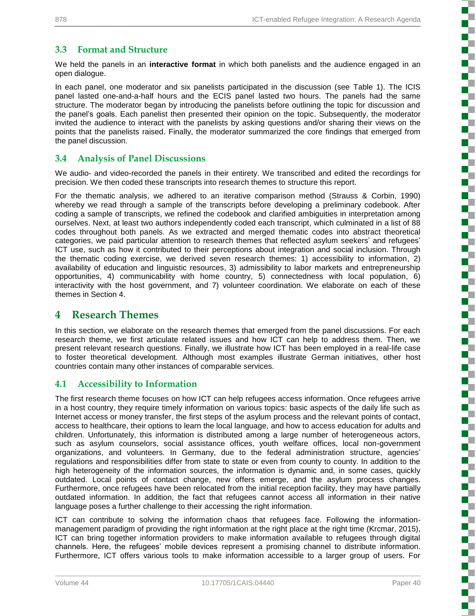#### **3.3 Format and Structure**

We held the panels in an **interactive format** in which both panelists and the audience engaged in an open dialogue.

In each panel, one moderator and six panelists participated in the discussion (see [Table 1\)](#page-6-0). The ICIS panel lasted one-and-a-half hours and the ECIS panel lasted two hours. The panels had the same structure. The moderator began by introducing the panelists before outlining the topic for discussion and the panel's goals. Each panelist then presented their opinion on the topic. Subsequently, the moderator invited the audience to interact with the panelists by asking questions and/or sharing their views on the points that the panelists raised. Finally, the moderator summarized the core findings that emerged from the panel discussion.

#### **3.4 Analysis of Panel Discussions**

We audio- and video-recorded the panels in their entirety. We transcribed and edited the recordings for precision. We then coded these transcripts into research themes to structure this report.

For the thematic analysis, we adhered to an iterative comparison method (Strauss & Corbin, 1990) whereby we read through a sample of the transcripts before developing a preliminary codebook. After coding a sample of transcripts, we refined the codebook and clarified ambiguities in interpretation among ourselves. Next, at least two authors independently coded each transcript, which culminated in a list of 88 codes throughout both panels. As we extracted and merged thematic codes into abstract theoretical categories, we paid particular attention to research themes that reflected asylum seekers' and refugees' ICT use, such as how it contributed to their perceptions about integration and social inclusion. Through the thematic coding exercise, we derived seven research themes: 1) accessibility to information, 2) availability of education and linguistic resources, 3) admissibility to labor markets and entrepreneurship opportunities, 4) communicability with home country, 5) connectedness with local population, 6) interactivity with the host government, and 7) volunteer coordination. We elaborate on each of these themes in Section 4.

### **4 Research Themes**

In this section, we elaborate on the research themes that emerged from the panel discussions. For each research theme, we first articulate related issues and how ICT can help to address them. Then, we present relevant research questions. Finally, we illustrate how ICT has been employed in a real-life case to foster theoretical development. Although most examples illustrate German initiatives, other host countries contain many other instances of comparable services.

#### **4.1 Accessibility to Information**

The first research theme focuses on how ICT can help refugees access information. Once refugees arrive in a host country, they require timely information on various topics: basic aspects of the daily life such as Internet access or money transfer, the first steps of the asylum process and the relevant points of contact, access to healthcare, their options to learn the local language, and how to access education for adults and children. Unfortunately, this information is distributed among a large number of heterogeneous actors, such as asylum counselors, social assistance offices, youth welfare offices, local non-government organizations, and volunteers. In Germany, due to the federal administration structure, agencies' regulations and responsibilities differ from state to state or even from county to county. In addition to the high heterogeneity of the information sources, the information is dynamic and, in some cases, quickly outdated. Local points of contact change, new offers emerge, and the asylum process changes. Furthermore, once refugees have been relocated from the initial reception facility, they may have partially outdated information. In addition, the fact that refugees cannot access all information in their native language poses a further challenge to their accessing the right information.

ICT can contribute to solving the information chaos that refugees face. Following the informationmanagement paradigm of providing the right information at the right place at the right time (Krcmar, 2015), ICT can bring together information providers to make information available to refugees through digital channels. Here, the refugees' mobile devices represent a promising channel to distribute information. Furthermore, ICT offers various tools to make information accessible to a larger group of users. For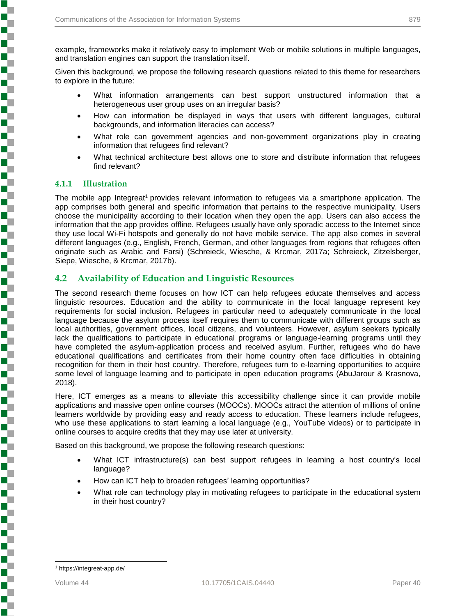example, frameworks make it relatively easy to implement Web or mobile solutions in multiple languages, and translation engines can support the translation itself.

Given this background, we propose the following research questions related to this theme for researchers to explore in the future:

- What information arrangements can best support unstructured information that a heterogeneous user group uses on an irregular basis?
- How can information be displayed in ways that users with different languages, cultural backgrounds, and information literacies can access?
- What role can government agencies and non-government organizations play in creating information that refugees find relevant?
- What technical architecture best allows one to store and distribute information that refugees find relevant?

#### **4.1.1 Illustration**

The mobile app Integreat<sup>1</sup> provides relevant information to refugees via a smartphone application. The app comprises both general and specific information that pertains to the respective municipality. Users choose the municipality according to their location when they open the app. Users can also access the information that the app provides offline. Refugees usually have only sporadic access to the Internet since they use local Wi-Fi hotspots and generally do not have mobile service. The app also comes in several different languages (e.g., English, French, German, and other languages from regions that refugees often originate such as Arabic and Farsi) (Schreieck, Wiesche, & Krcmar, 2017a; Schreieck, Zitzelsberger, Siepe, Wiesche, & Krcmar, 2017b).

#### **4.2 Availability of Education and Linguistic Resources**

The second research theme focuses on how ICT can help refugees educate themselves and access linguistic resources. Education and the ability to communicate in the local language represent key requirements for social inclusion. Refugees in particular need to adequately communicate in the local language because the asylum process itself requires them to communicate with different groups such as local authorities, government offices, local citizens, and volunteers. However, asylum seekers typically lack the qualifications to participate in educational programs or language-learning programs until they have completed the asylum-application process and received asylum. Further, refugees who do have educational qualifications and certificates from their home country often face difficulties in obtaining recognition for them in their host country. Therefore, refugees turn to e-learning opportunities to acquire some level of language learning and to participate in open education programs (AbuJarour & Krasnova, 2018).

Here, ICT emerges as a means to alleviate this accessibility challenge since it can provide mobile applications and massive open online courses (MOOCs). MOOCs attract the attention of millions of online learners worldwide by providing easy and ready access to education. These learners include refugees, who use these applications to start learning a local language (e.g., YouTube videos) or to participate in online courses to acquire credits that they may use later at university.

Based on this background, we propose the following research questions:

- What ICT infrastructure(s) can best support refugees in learning a host country's local language?
- How can ICT help to broaden refugees' learning opportunities?
- What role can technology play in motivating refugees to participate in the educational system in their host country?

l

**Experience in the property of the contract of the contract of the contract of the contract of the contract of**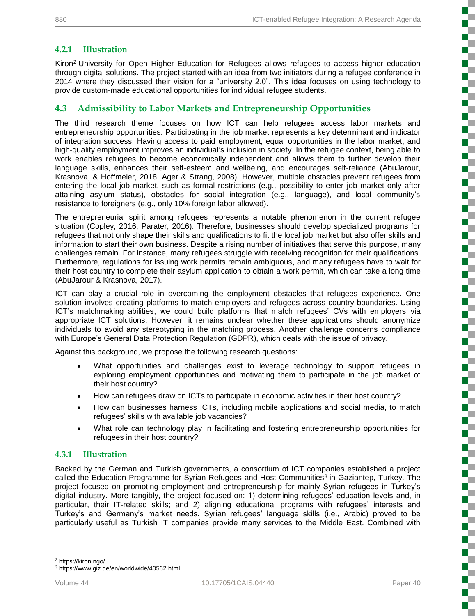#### **4.2.1 Illustration**

Kiron<sup>2</sup> University for Open Higher Education for Refugees allows refugees to access higher education through digital solutions. The project started with an idea from two initiators during a refugee conference in 2014 where they discussed their vision for a "university 2.0". This idea focuses on using technology to provide custom-made educational opportunities for individual refugee students.

#### **4.3 Admissibility to Labor Markets and Entrepreneurship Opportunities**

The third research theme focuses on how ICT can help refugees access labor markets and entrepreneurship opportunities. Participating in the job market represents a key determinant and indicator of integration success. Having access to paid employment, equal opportunities in the labor market, and high-quality employment improves an individual's inclusion in society. In the refugee context, being able to work enables refugees to become economically independent and allows them to further develop their language skills, enhances their self-esteem and wellbeing, and encourages self-reliance (AbuJarour, Krasnova, & Hoffmeier, 2018; Ager & Strang, 2008). However, multiple obstacles prevent refugees from entering the local job market, such as formal restrictions (e.g., possibility to enter job market only after attaining asylum status), obstacles for social integration (e.g., language), and local community's resistance to foreigners (e.g., only 10% foreign labor allowed).

The entrepreneurial spirit among refugees represents a notable phenomenon in the current refugee situation (Copley, 2016; Parater, 2016). Therefore, businesses should develop specialized programs for refugees that not only shape their skills and qualifications to fit the local job market but also offer skills and information to start their own business. Despite a rising number of initiatives that serve this purpose, many challenges remain. For instance, many refugees struggle with receiving recognition for their qualifications. Furthermore, regulations for issuing work permits remain ambiguous, and many refugees have to wait for their host country to complete their asylum application to obtain a work permit, which can take a long time (AbuJarour & Krasnova, 2017).

ICT can play a crucial role in overcoming the employment obstacles that refugees experience. One solution involves creating platforms to match employers and refugees across country boundaries. Using ICT's matchmaking abilities, we could build platforms that match refugees' CVs with employers via appropriate ICT solutions. However, it remains unclear whether these applications should anonymize individuals to avoid any stereotyping in the matching process. Another challenge concerns compliance with Europe's General Data Protection Regulation (GDPR), which deals with the issue of privacy.

Against this background, we propose the following research questions:

- What opportunities and challenges exist to leverage technology to support refugees in exploring employment opportunities and motivating them to participate in the job market of their host country?
- How can refugees draw on ICTs to participate in economic activities in their host country?
- How can businesses harness ICTs, including mobile applications and social media, to match refugees' skills with available job vacancies?
- What role can technology play in facilitating and fostering entrepreneurship opportunities for refugees in their host country?

#### **4.3.1 Illustration**

Backed by the German and Turkish governments, a consortium of ICT companies established a project called the Education Programme for Syrian Refugees and Host Communities<sup>3</sup> in Gaziantep, Turkey. The project focused on promoting employment and entrepreneurship for mainly Syrian refugees in Turkey's digital industry. More tangibly, the project focused on: 1) determining refugees' education levels and, in particular, their IT-related skills; and 2) aligning educational programs with refugees' interests and Turkey's and Germany's market needs. Syrian refugees' language skills (i.e., Arabic) proved to be particularly useful as Turkish IT companies provide many services to the Middle East. Combined with

<sup>2</sup> https://kiron.ngo/

l

<sup>3</sup> https://www.giz.de/en/worldwide/40562.html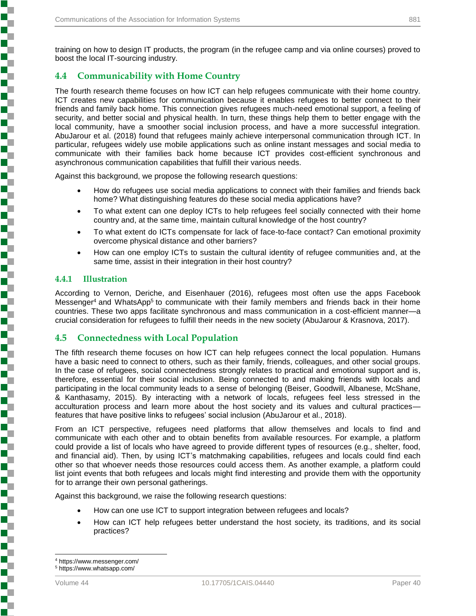training on how to design IT products, the program (in the refugee camp and via online courses) proved to boost the local IT-sourcing industry.

#### **4.4 Communicability with Home Country**

The fourth research theme focuses on how ICT can help refugees communicate with their home country. ICT creates new capabilities for communication because it enables refugees to better connect to their friends and family back home. This connection gives refugees much-need emotional support, a feeling of security, and better social and physical health. In turn, these things help them to better engage with the local community, have a smoother social inclusion process, and have a more successful integration. AbuJarour et al. (2018) found that refugees mainly achieve interpersonal communication through ICT. In particular, refugees widely use mobile applications such as online instant messages and social media to communicate with their families back home because ICT provides cost-efficient synchronous and asynchronous communication capabilities that fulfill their various needs.

Against this background, we propose the following research questions:

- How do refugees use social media applications to connect with their families and friends back home? What distinguishing features do these social media applications have?
- To what extent can one deploy ICTs to help refugees feel socially connected with their home country and, at the same time, maintain cultural knowledge of the host country?
- To what extent do ICTs compensate for lack of face-to-face contact? Can emotional proximity overcome physical distance and other barriers?
- How can one employ ICTs to sustain the cultural identity of refugee communities and, at the same time, assist in their integration in their host country?

#### **4.4.1 Illustration**

**Production of the production of the production of the production of the company's company's company's company's company's company's company's company's company's company's company's company's company's company's company's** 

According to Vernon, Deriche, and Eisenhauer (2016), refugees most often use the apps Facebook Messenger<sup>4</sup> and WhatsApp<sup>5</sup> to communicate with their family members and friends back in their home countries. These two apps facilitate synchronous and mass communication in a cost-efficient manner—a crucial consideration for refugees to fulfill their needs in the new society (AbuJarour & Krasnova, 2017).

#### **4.5 Connectedness with Local Population**

The fifth research theme focuses on how ICT can help refugees connect the local population. Humans have a basic need to connect to others, such as their family, friends, colleagues, and other social groups. In the case of refugees, social connectedness strongly relates to practical and emotional support and is, therefore, essential for their social inclusion. Being connected to and making friends with locals and participating in the local community leads to a sense of belonging (Beiser, Goodwill, Albanese, McShane, & Kanthasamy, 2015). By interacting with a network of locals, refugees feel less stressed in the acculturation process and learn more about the host society and its values and cultural practices features that have positive links to refugees' social inclusion (AbuJarour et al., 2018).

From an ICT perspective, refugees need platforms that allow themselves and locals to find and communicate with each other and to obtain benefits from available resources. For example, a platform could provide a list of locals who have agreed to provide different types of resources (e.g., shelter, food, and financial aid). Then, by using ICT's matchmaking capabilities, refugees and locals could find each other so that whoever needs those resources could access them. As another example, a platform could list joint events that both refugees and locals might find interesting and provide them with the opportunity for to arrange their own personal gatherings.

Against this background, we raise the following research questions:

- How can one use ICT to support integration between refugees and locals?
- How can ICT help refugees better understand the host society, its traditions, and its social practices?

l

<sup>4</sup> https://www.messenger.com/

<sup>5</sup> https://www.whatsapp.com/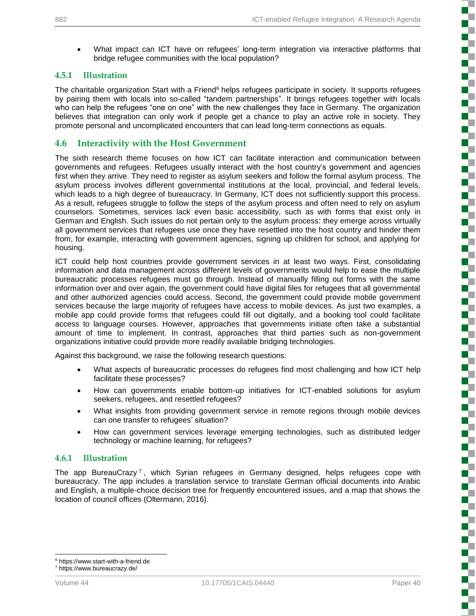• What impact can ICT have on refugees' long-term integration via interactive platforms that bridge refugee communities with the local population?

#### **4.5.1 Illustration**

The charitable organization Start with a Friend<sup>6</sup> helps refugees participate in society. It supports refugees by pairing them with locals into so-called "tandem partnerships". It brings refugees together with locals who can help the refugees "one on one" with the new challenges they face in Germany. The organization believes that integration can only work if people get a chance to play an active role in society. They promote personal and uncomplicated encounters that can lead long-term connections as equals.

#### **4.6 Interactivity with the Host Government**

The sixth research theme focuses on how ICT can facilitate interaction and communication between governments and refugees. Refugees usually interact with the host country's government and agencies first when they arrive. They need to register as asylum seekers and follow the formal asylum process. The asylum process involves different governmental institutions at the local, provincial, and federal levels, which leads to a high degree of bureaucracy. In Germany, ICT does not sufficiently support this process. As a result, refugees struggle to follow the steps of the asylum process and often need to rely on asylum counselors. Sometimes, services lack even basic accessibility, such as with forms that exist only in German and English. Such issues do not pertain only to the asylum process: they emerge across virtually all government services that refugees use once they have resettled into the host country and hinder them from, for example, interacting with government agencies, signing up children for school, and applying for housing.

ICT could help host countries provide government services in at least two ways. First, consolidating information and data management across different levels of governments would help to ease the multiple bureaucratic processes refugees must go through. Instead of manually filling out forms with the same information over and over again, the government could have digital files for refugees that all governmental and other authorized agencies could access. Second, the government could provide mobile government services because the large majority of refugees have access to mobile devices. As just two examples, a mobile app could provide forms that refugees could fill out digitally, and a booking tool could facilitate access to language courses. However, approaches that governments initiate often take a substantial amount of time to implement. In contrast, approaches that third parties such as non-government organizations initiative could provide more readily available bridging technologies.

Against this background, we raise the following research questions:

- What aspects of bureaucratic processes do refugees find most challenging and how ICT help facilitate these processes?
- How can governments enable bottom-up initiatives for ICT-enabled solutions for asylum seekers, refugees, and resettled refugees?
- What insights from providing government service in remote regions through mobile devices can one transfer to refugees' situation?
- How can government services leverage emerging technologies, such as distributed ledger technology or machine learning, for refugees?

#### **4.6.1 Illustration**

The app BureauCrazy<sup>7</sup>, which Syrian refugees in Germany designed, helps refugees cope with bureaucracy. The app includes a translation service to translate German official documents into Arabic and English, a multiple-choice decision tree for frequently encountered issues, and a map that shows the location of council offices (Oltermann, 2016).

l

<sup>6</sup> https://www.start-with-a-friend.de

<sup>7</sup> https://www.bureaucrazy.de/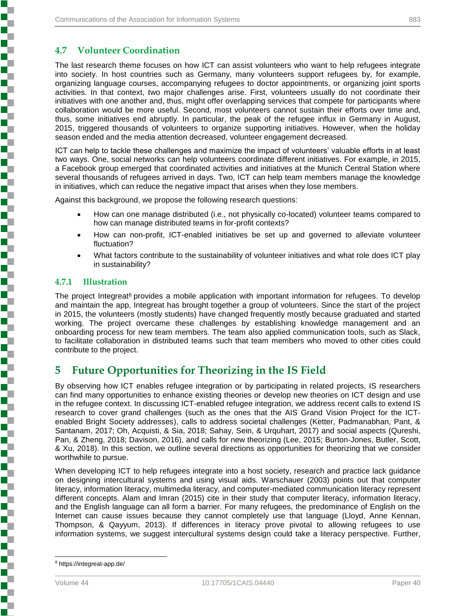#### **4.7 Volunteer Coordination**

The last research theme focuses on how ICT can assist volunteers who want to help refugees integrate into society. In host countries such as Germany, many volunteers support refugees by, for example, organizing language courses, accompanying refugees to doctor appointments, or organizing joint sports activities. In that context, two major challenges arise. First, volunteers usually do not coordinate their initiatives with one another and, thus, might offer overlapping services that compete for participants where collaboration would be more useful. Second, most volunteers cannot sustain their efforts over time and, thus, some initiatives end abruptly. In particular, the peak of the refugee influx in Germany in August, 2015, triggered thousands of volunteers to organize supporting initiatives. However, when the holiday season ended and the media attention decreased, volunteer engagement decreased.

ICT can help to tackle these challenges and maximize the impact of volunteers' valuable efforts in at least two ways. One, social networks can help volunteers coordinate different initiatives. For example, in 2015, a Facebook group emerged that coordinated activities and initiatives at the Munich Central Station where several thousands of refugees arrived in days. Two, ICT can help team members manage the knowledge in initiatives, which can reduce the negative impact that arises when they lose members.

Against this background, we propose the following research questions:

- How can one manage distributed (i.e., not physically co-located) volunteer teams compared to how can manage distributed teams in for-profit contexts?
- How can non-profit, ICT-enabled initiatives be set up and governed to alleviate volunteer fluctuation?
- What factors contribute to the sustainability of volunteer initiatives and what role does ICT play in sustainability?

#### **4.7.1 Illustration**

**Experience in the property of the contract of the contract of the contract of the contract of the contract of** 

The project Integreat<sup>8</sup> provides a mobile application with important information for refugees. To develop and maintain the app, Integreat has brought together a group of volunteers. Since the start of the project in 2015, the volunteers (mostly students) have changed frequently mostly because graduated and started working. The project overcame these challenges by establishing knowledge management and an onboarding process for new team members. The team also applied communication tools, such as Slack, to facilitate collaboration in distributed teams such that team members who moved to other cities could contribute to the project.

### **5 Future Opportunities for Theorizing in the IS Field**

By observing how ICT enables refugee integration or by participating in related projects, IS researchers can find many opportunities to enhance existing theories or develop new theories on ICT design and use in the refugee context. In discussing ICT-enabled refugee integration, we address recent calls to extend IS research to cover grand challenges (such as the ones that the AIS Grand Vision Project for the ICTenabled Bright Society addresses), calls to address societal challenges (Ketter, Padmanabhan, Pant, & Santanam, 2017; Oh, Acquisti, & Sia, 2018; Sahay, Sein, & Urquhart, 2017) and social aspects (Qureshi, Pan, & Zheng, 2018; Davison, 2016), and calls for new theorizing (Lee, 2015; Burton-Jones, Butler, Scott, & Xu, 2018). In this section, we outline several directions as opportunities for theorizing that we consider worthwhile to pursue.

When developing ICT to help refugees integrate into a host society, research and practice lack guidance on designing intercultural systems and using visual aids. Warschauer (2003) points out that computer literacy, information literacy, multimedia literacy, and computer-mediated communication literacy represent different concepts. Alam and Imran (2015) cite in their study that computer literacy, information literacy, and the English language can all form a barrier. For many refugees, the predominance of English on the Internet can cause issues because they cannot completely use that language (Lloyd, Anne Kennan, Thompson, & Qayyum, 2013). If differences in literacy prove pivotal to allowing refugees to use information systems, we suggest intercultural systems design could take a literacy perspective. Further,

l

<sup>8</sup> https://integreat-app.de/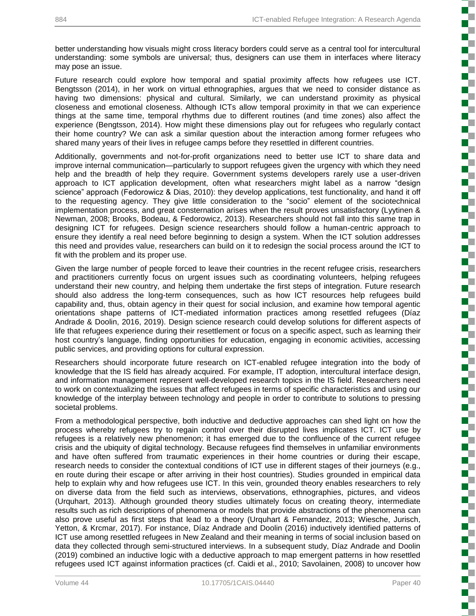better understanding how visuals might cross literacy borders could serve as a central tool for intercultural understanding: some symbols are universal; thus, designers can use them in interfaces where literacy may pose an issue.

Future research could explore how temporal and spatial proximity affects how refugees use ICT. Bengtsson (2014), in her work on virtual ethnographies, argues that we need to consider distance as having two dimensions: physical and cultural. Similarly, we can understand proximity as physical closeness and emotional closeness. Although ICTs allow temporal proximity in that we can experience things at the same time, temporal rhythms due to different routines (and time zones) also affect the experience (Bengtsson, 2014). How might these dimensions play out for refugees who regularly contact their home country? We can ask a similar question about the interaction among former refugees who shared many years of their lives in refugee camps before they resettled in different countries.

Additionally, governments and not-for-profit organizations need to better use ICT to share data and improve internal communication—particularly to support refugees given the urgency with which they need help and the breadth of help they require. Government systems developers rarely use a user-driven approach to ICT application development, often what researchers might label as a narrow "design science" approach (Fedorowicz & Dias, 2010): they develop applications, test functionality, and hand it off to the requesting agency. They give little consideration to the "socio" element of the sociotechnical implementation process, and great consternation arises when the result proves unsatisfactory (Lyytinen & Newman, 2008; Brooks, Bodeau, & Fedorowicz, 2013). Researchers should not fall into this same trap in designing ICT for refugees. Design science researchers should follow a human-centric approach to ensure they identify a real need before beginning to design a system. When the ICT solution addresses this need and provides value, researchers can build on it to redesign the social process around the ICT to fit with the problem and its proper use.

Given the large number of people forced to leave their countries in the recent refugee crisis, researchers and practitioners currently focus on urgent issues such as coordinating volunteers, helping refugees understand their new country, and helping them undertake the first steps of integration. Future research should also address the long-term consequences, such as how ICT resources help refugees build capability and, thus, obtain agency in their quest for social inclusion, and examine how temporal agentic orientations shape patterns of ICT-mediated information practices among resettled refugees (Díaz Andrade & Doolin, 2016, 2019). Design science research could develop solutions for different aspects of life that refugees experience during their resettlement or focus on a specific aspect, such as learning their host country's language, finding opportunities for education, engaging in economic activities, accessing public services, and providing options for cultural expression.

Researchers should incorporate future research on ICT-enabled refugee integration into the body of knowledge that the IS field has already acquired. For example, IT adoption, intercultural interface design, and information management represent well-developed research topics in the IS field. Researchers need to work on contextualizing the issues that affect refugees in terms of specific characteristics and using our knowledge of the interplay between technology and people in order to contribute to solutions to pressing societal problems.

From a methodological perspective, both inductive and deductive approaches can shed light on how the process whereby refugees try to regain control over their disrupted lives implicates ICT. ICT use by refugees is a relatively new phenomenon; it has emerged due to the confluence of the current refugee crisis and the ubiquity of digital technology. Because refugees find themselves in unfamiliar environments and have often suffered from traumatic experiences in their home countries or during their escape, research needs to consider the contextual conditions of ICT use in different stages of their journeys (e.g., en route during their escape or after arriving in their host countries). Studies grounded in empirical data help to explain why and how refugees use ICT. In this vein, grounded theory enables researchers to rely on diverse data from the field such as interviews, observations, ethnographies, pictures, and videos (Urquhart, 2013). Although grounded theory studies ultimately focus on creating theory, intermediate results such as rich descriptions of phenomena or models that provide abstractions of the phenomena can also prove useful as first steps that lead to a theory (Urquhart & Fernandez, 2013; Wiesche, Jurisch, Yetton, & Krcmar, 2017). For instance, Díaz Andrade and Doolin (2016) inductively identified patterns of ICT use among resettled refugees in New Zealand and their meaning in terms of social inclusion based on data they collected through semi-structured interviews. In a subsequent study, Díaz Andrade and Doolin (2019) combined an inductive logic with a deductive approach to map emergent patterns in how resettled refugees used ICT against information practices (cf. Caidi et al., 2010; Savolainen, 2008) to uncover how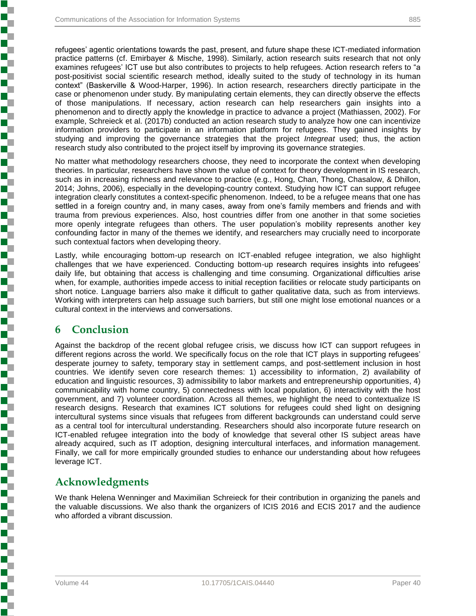refugees' agentic orientations towards the past, present, and future shape these ICT-mediated information practice patterns (cf. Emirbayer & Mische, 1998). Similarly, action research suits research that not only examines refugees' ICT use but also contributes to projects to help refugees. Action research refers to "a post-positivist social scientific research method, ideally suited to the study of technology in its human context" (Baskerville & Wood-Harper, 1996). In action research, researchers directly participate in the case or phenomenon under study. By manipulating certain elements, they can directly observe the effects of those manipulations. If necessary, action research can help researchers gain insights into a phenomenon and to directly apply the knowledge in practice to advance a project (Mathiassen, 2002). For example, Schreieck et al. (2017b) conducted an action research study to analyze how one can incentivize information providers to participate in an information platform for refugees. They gained insights by studying and improving the governance strategies that the project *Integreat* used; thus, the action research study also contributed to the project itself by improving its governance strategies.

No matter what methodology researchers choose, they need to incorporate the context when developing theories. In particular, researchers have shown the value of context for theory development in IS research, such as in increasing richness and relevance to practice (e.g., Hong, Chan, Thong, Chasalow, & Dhillon, 2014; Johns, 2006), especially in the developing-country context. Studying how ICT can support refugee integration clearly constitutes a context-specific phenomenon. Indeed, to be a refugee means that one has settled in a foreign country and, in many cases, away from one's family members and friends and with trauma from previous experiences. Also, host countries differ from one another in that some societies more openly integrate refugees than others. The user population's mobility represents another key confounding factor in many of the themes we identify, and researchers may crucially need to incorporate such contextual factors when developing theory.

Lastly, while encouraging bottom-up research on ICT-enabled refugee integration, we also highlight challenges that we have experienced. Conducting bottom-up research requires insights into refugees' daily life, but obtaining that access is challenging and time consuming. Organizational difficulties arise when, for example, authorities impede access to initial reception facilities or relocate study participants on short notice. Language barriers also make it difficult to gather qualitative data, such as from interviews. Working with interpreters can help assuage such barriers, but still one might lose emotional nuances or a cultural context in the interviews and conversations.

### **6 Conclusion**

**Experience of the property of the construction of the construction of the construction of the construction of the construction of the construction of the construction of the construction of the construction of the constru** 

Against the backdrop of the recent global refugee crisis, we discuss how ICT can support refugees in different regions across the world. We specifically focus on the role that ICT plays in supporting refugees' desperate journey to safety, temporary stay in settlement camps, and post-settlement inclusion in host countries. We identify seven core research themes: 1) accessibility to information, 2) availability of education and linguistic resources, 3) admissibility to labor markets and entrepreneurship opportunities, 4) communicability with home country, 5) connectedness with local population, 6) interactivity with the host government, and 7) volunteer coordination. Across all themes, we highlight the need to contextualize IS research designs. Research that examines ICT solutions for refugees could shed light on designing intercultural systems since visuals that refugees from different backgrounds can understand could serve as a central tool for intercultural understanding. Researchers should also incorporate future research on ICT-enabled refugee integration into the body of knowledge that several other IS subject areas have already acquired, such as IT adoption, designing intercultural interfaces, and information management. Finally, we call for more empirically grounded studies to enhance our understanding about how refugees leverage ICT.

## **Acknowledgments**

We thank Helena Wenninger and Maximilian Schreieck for their contribution in organizing the panels and the valuable discussions. We also thank the organizers of ICIS 2016 and ECIS 2017 and the audience who afforded a vibrant discussion.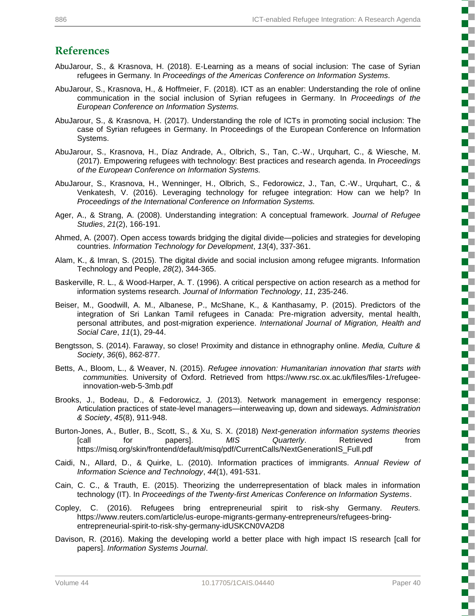## **References**

- AbuJarour, S., & Krasnova, H. (2018). E-Learning as a means of social inclusion: The case of Syrian refugees in Germany. In *Proceedings of the Americas Conference on Information Systems.*
- AbuJarour, S., Krasnova, H., & Hoffmeier, F. (2018). ICT as an enabler: Understanding the role of online communication in the social inclusion of Syrian refugees in Germany. In *Proceedings of the European Conference on Information Systems.*
- AbuJarour, S., & Krasnova, H. (2017). Understanding the role of ICTs in promoting social inclusion: The case of Syrian refugees in Germany. In Proceedings of the European Conference on Information Systems.
- AbuJarour, S., Krasnova, H., Díaz Andrade, A., Olbrich, S., Tan, C.-W., Urquhart, C., & Wiesche, M. (2017). Empowering refugees with technology: Best practices and research agenda. In *Proceedings of the European Conference on Information Systems.*
- AbuJarour, S., Krasnova, H., Wenninger, H., Olbrich, S., Fedorowicz, J., Tan, C.-W., Urquhart, C., & Venkatesh, V. (2016). Leveraging technology for refugee integration: How can we help? In *Proceedings of the International Conference on Information Systems.*
- Ager, A., & Strang, A. (2008). Understanding integration: A conceptual framework. *Journal of Refugee Studies*, *21*(2), 166-191.
- Ahmed, A. (2007). Open access towards bridging the digital divide—policies and strategies for developing countries. *Information Technology for Development*, *13*(4), 337-361.
- Alam, K., & Imran, S. (2015). The digital divide and social inclusion among refugee migrants. Information Technology and People, *28*(2), 344-365.
- Baskerville, R. L., & Wood-Harper, A. T. (1996). A critical perspective on action research as a method for information systems research. *Journal of Information Technology*, *11*, 235-246.
- Beiser, M., Goodwill, A. M., Albanese, P., McShane, K., & Kanthasamy, P. (2015). Predictors of the integration of Sri Lankan Tamil refugees in Canada: Pre-migration adversity, mental health, personal attributes, and post-migration experience. *International Journal of Migration, Health and Social Care*, *11*(1), 29-44.
- Bengtsson, S. (2014). Faraway, so close! Proximity and distance in ethnography online. *Media, Culture & Society*, *36*(6), 862-877.
- Betts, A., Bloom, L., & Weaver, N. (2015). *Refugee innovation: Humanitarian innovation that starts with communities.* University of Oxford. Retrieved from https://www.rsc.ox.ac.uk/files/files-1/refugeeinnovation-web-5-3mb.pdf
- Brooks, J., Bodeau, D., & Fedorowicz, J. (2013). Network management in emergency response: Articulation practices of state-level managers—interweaving up, down and sideways*. Administration & Society*, *45*(8), 911-948.
- Burton-Jones, A., Butler, B., Scott, S., & Xu, S. X. (2018) *Next-generation information systems theories* [call for papers]. *MIS Quarterly*. Retrieved from https://misq.org/skin/frontend/default/misq/pdf/CurrentCalls/NextGenerationIS\_Full.pdf
- Caidi, N., Allard, D., & Quirke, L. (2010). Information practices of immigrants. *Annual Review of Information Science and Technology*, *44*(1), 491-531.
- Cain, C. C., & Trauth, E. (2015). Theorizing the underrepresentation of black males in information technology (IT). In *Proceedings of the Twenty-first Americas Conference on Information Systems*.
- Copley, C. (2016). Refugees bring entrepreneurial spirit to risk-shy Germany. *Reuters.* https://www.reuters.com/article/us-europe-migrants-germany-entrepreneurs/refugees-bringentrepreneurial-spirit-to-risk-shy-germany-idUSKCN0VA2D8
- Davison, R. (2016). Making the developing world a better place with high impact IS research [call for papers]. *Information Systems Journal*.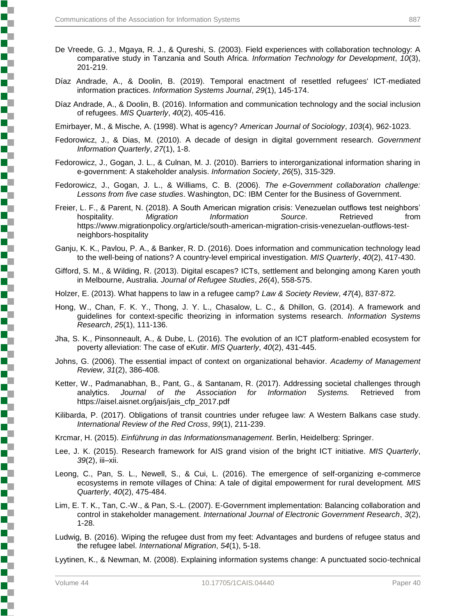- De Vreede, G. J., Mgaya, R. J., & Qureshi, S. (2003). Field experiences with collaboration technology: A comparative study in Tanzania and South Africa. *Information Technology for Development*, *10*(3), 201-219.
- Díaz Andrade, A., & Doolin, B. (2019). Temporal enactment of resettled refugees' ICT‐mediated information practices. *Information Systems Journal*, *29*(1), 145-174.
- Díaz Andrade, A., & Doolin, B. (2016). Information and communication technology and the social inclusion of refugees. *MIS Quarterly*, *40*(2), 405-416.

Emirbayer, M., & Mische, A. (1998). What is agency? *American Journal of Sociology*, *103*(4), 962-1023.

- Fedorowicz, J., & Dias, M. (2010). A decade of design in digital government research. *Government Information Quarterly*, *27*(1), 1-8.
- Fedorowicz, J., Gogan, J. L., & Culnan, M. J. (2010). Barriers to interorganizational information sharing in e-government: A stakeholder analysis. *Information Society*, *26*(5), 315-329.
- Fedorowicz, J., Gogan, J. L., & Williams, C. B. (2006). *The e-Government collaboration challenge: Lessons from five case studies*. Washington, DC: IBM Center for the Business of Government.
- Freier, L. F., & Parent, N. (2018). A South American migration crisis: Venezuelan outflows test neighbors' hospitality. *Migration Information Source*. Retrieved from https://www.migrationpolicy.org/article/south-american-migration-crisis-venezuelan-outflows-testneighbors-hospitality
- Ganju, K. K., Pavlou, P. A., & Banker, R. D. (2016). Does information and communication technology lead to the well-being of nations? A country-level empirical investigation. *MIS Quarterly*, *40*(2), 417-430.
- Gifford, S. M., & Wilding, R. (2013). Digital escapes? ICTs, settlement and belonging among Karen youth in Melbourne, Australia. *Journal of Refugee Studies*, *26*(4), 558-575.
- Holzer, E. (2013). What happens to law in a refugee camp? *Law & Society Review*, *47*(4), 837-872.
- Hong, W., Chan, F. K. Y., Thong, J. Y. L., Chasalow, L. C., & Dhillon, G. (2014). A framework and guidelines for context-specific theorizing in information systems research. *Information Systems Research*, *25*(1), 111-136.
- Jha, S. K., Pinsonneault, A., & Dube, L. (2016). The evolution of an ICT platform-enabled ecosystem for poverty alleviation: The case of eKutir. *MIS Quarterly*, *40*(2), 431-445.
- Johns, G. (2006). The essential impact of context on organizational behavior. *Academy of Management Review*, *31*(2), 386-408.
- Ketter, W., Padmanabhan, B., Pant, G., & Santanam, R. (2017). Addressing societal challenges through analytics. *Journal of the Association for Information Systems.* Retrieved from https://aisel.aisnet.org/jais/jais\_cfp\_2017.pdf
- Kilibarda, P. (2017). Obligations of transit countries under refugee law: A Western Balkans case study. *International Review of the Red Cross*, *99*(1), 211-239.

Krcmar, H. (2015). *Einführung in das Informationsmanagement*. Berlin, Heidelberg: Springer.

- Lee, J. K. (2015). Research framework for AIS grand vision of the bright ICT initiative. *MIS Quarterly*, *39*(2), iii–xii.
- Leong, C., Pan, S. L., Newell, S., & Cui, L. (2016). The emergence of self-organizing e-commerce ecosystems in remote villages of China: A tale of digital empowerment for rural development*. MIS Quarterly*, *40*(2), 475-484.
- Lim, E. T. K., Tan, C.-W., & Pan, S.-L. (2007). E-Government implementation: Balancing collaboration and control in stakeholder management. *International Journal of Electronic Government Research*, *3*(2), 1-28.
- Ludwig, B. (2016). Wiping the refugee dust from my feet: Advantages and burdens of refugee status and the refugee label. *International Migration*, *54*(1), 5-18.

Lyytinen, K., & Newman, M. (2008). Explaining information systems change: A punctuated socio-technical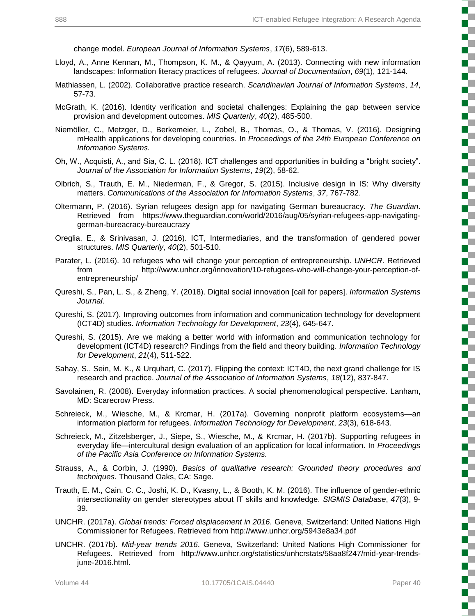change model. *European Journal of Information Systems*, *17*(6), 589-613.

- Lloyd, A., Anne Kennan, M., Thompson, K. M., & Qayyum, A. (2013). Connecting with new information landscapes: Information literacy practices of refugees. *Journal of Documentation*, *69*(1), 121-144.
- Mathiassen, L. (2002). Collaborative practice research. *Scandinavian Journal of Information Systems*, *14*, 57-73.
- McGrath, K. (2016). Identity verification and societal challenges: Explaining the gap between service provision and development outcomes. *MIS Quarterly*, *40*(2), 485-500.
- Niemöller, C., Metzger, D., Berkemeier, L., Zobel, B., Thomas, O., & Thomas, V. (2016). Designing mHealth applications for developing countries. In *Proceedings of the 24th European Conference on Information Systems.*
- Oh, W., Acquisti, A., and Sia, C. L. (2018). ICT challenges and opportunities in building a "bright society". *Journal of the Association for Information Systems*, *19*(2), 58-62.
- Olbrich, S., Trauth, E. M., Niederman, F., & Gregor, S. (2015). Inclusive design in IS: Why diversity matters. *Communications of the Association for Information Systems*, *37*, 767-782.
- Oltermann, P. (2016). Syrian refugees design app for navigating German bureaucracy. *The Guardian*. Retrieved from https://www.theguardian.com/world/2016/aug/05/syrian-refugees-app-navigatinggerman-bureacracy-bureaucrazy
- Oreglia, E., & Srinivasan, J. (2016). ICT, Intermediaries, and the transformation of gendered power structures. *MIS Quarterly*, *40*(2), 501-510.
- Parater, L. (2016). 10 refugees who will change your perception of entrepreneurship. *UNHCR*. Retrieved from http://www.unhcr.org/innovation/10-refugees-who-will-change-your-perception-ofentrepreneurship/
- Qureshi, S., Pan, L. S., & Zheng, Y. (2018). Digital social innovation [call for papers]. *Information Systems Journal*.
- Qureshi, S. (2017). Improving outcomes from information and communication technology for development (ICT4D) studies. *Information Technology for Development*, *23*(4), 645-647.
- Qureshi, S. (2015). Are we making a better world with information and communication technology for development (ICT4D) research? Findings from the field and theory building. *Information Technology for Development*, *21*(4), 511-522.
- Sahay, S., Sein, M. K., & Urquhart, C. (2017). Flipping the context: ICT4D, the next grand challenge for IS research and practice. *Journal of the Association of Information Systems*, *18*(12), 837-847.
- Savolainen, R. (2008). Everyday information practices. A social phenomenological perspective. Lanham, MD: Scarecrow Press.
- Schreieck, M., Wiesche, M., & Krcmar, H. (2017a). Governing nonprofit platform ecosystems—an information platform for refugees. *Information Technology for Development*, *23*(3), 618-643.
- Schreieck, M., Zitzelsberger, J., Siepe, S., Wiesche, M., & Krcmar, H. (2017b). Supporting refugees in everyday life—intercultural design evaluation of an application for local information. In *Proceedings of the Pacific Asia Conference on Information Systems.*
- Strauss, A., & Corbin, J. (1990). *Basics of qualitative research: Grounded theory procedures and techniques.* Thousand Oaks, CA: Sage.
- Trauth, E. M., Cain, C. C., Joshi, K. D., Kvasny, L., & Booth, K. M. (2016). The influence of gender-ethnic intersectionality on gender stereotypes about IT skills and knowledge. *SIGMIS Database*, *47*(3), 9- 39.
- UNCHR. (2017a). *Global trends: Forced displacement in 2016.* Geneva, Switzerland: United Nations High Commissioner for Refugees. Retrieved from http://www.unhcr.org/5943e8a34.pdf
- UNCHR. (2017b). *Mid-year trends 2016*. Geneva, Switzerland: United Nations High Commissioner for Refugees. Retrieved from http://www.unhcr.org/statistics/unhcrstats/58aa8f247/mid-year-trendsjune-2016.html.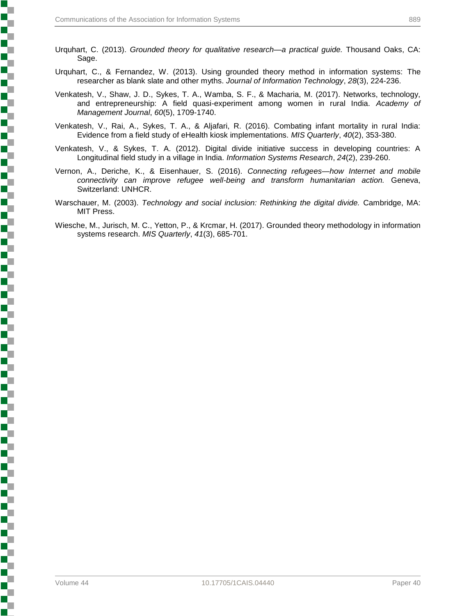- Urquhart, C. (2013). *Grounded theory for qualitative research—a practical guide.* Thousand Oaks, CA: Sage.
- Urquhart, C., & Fernandez, W. (2013). Using grounded theory method in information systems: The researcher as blank slate and other myths. *Journal of Information Technology*, *28*(3), 224-236.
- Venkatesh, V., Shaw, J. D., Sykes, T. A., Wamba, S. F., & Macharia, M. (2017). Networks, technology, and entrepreneurship: A field quasi-experiment among women in rural India. *Academy of Management Journal*, *60*(5), 1709-1740.
- Venkatesh, V., Rai, A., Sykes, T. A., & Aljafari, R. (2016). Combating infant mortality in rural India: Evidence from a field study of eHealth kiosk implementations. *MIS Quarterly*, *40*(2), 353-380.
- Venkatesh, V., & Sykes, T. A. (2012). Digital divide initiative success in developing countries: A Longitudinal field study in a village in India. *Information Systems Research*, *24*(2), 239-260.
- Vernon, A., Deriche, K., & Eisenhauer, S. (2016). *Connecting refugees—how Internet and mobile connectivity can improve refugee well-being and transform humanitarian action.* Geneva, Switzerland: UNHCR.
- Warschauer, M. (2003). *Technology and social inclusion: Rethinking the digital divide.* Cambridge, MA: MIT Press.
- Wiesche, M., Jurisch, M. C., Yetton, P., & Krcmar, H. (2017). Grounded theory methodology in information systems research. *MIS Quarterly*, *41*(3), 685-701.

**Production of the production of the production of the production of the company's company's company's company's company's company's company's company's company's company's company's company's company's company's company's**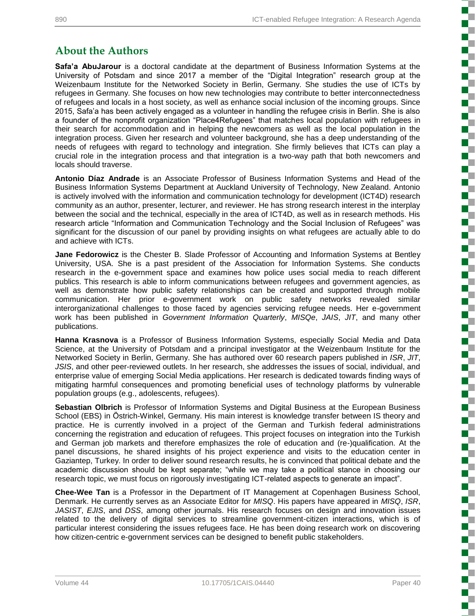# **About the Authors**

**Safa'a AbuJarour** is a doctoral candidate at the department of Business Information Systems at the University of Potsdam and since 2017 a member of the "Digital Integration" research group at the Weizenbaum Institute for the Networked Society in Berlin, Germany. She studies the use of ICTs by refugees in Germany. She focuses on how new technologies may contribute to better interconnectedness of refugees and locals in a host society, as well as enhance social inclusion of the incoming groups. Since 2015, Safa'a has been actively engaged as a volunteer in handling the refugee crisis in Berlin. She is also a founder of the nonprofit organization "Place4Refugees" that matches local population with refugees in their search for accommodation and in helping the newcomers as well as the local population in the integration process. Given her research and volunteer background, she has a deep understanding of the needs of refugees with regard to technology and integration. She firmly believes that ICTs can play a crucial role in the integration process and that integration is a two-way path that both newcomers and locals should traverse.

**Antonio Díaz Andrade** is an Associate Professor of Business Information Systems and Head of the Business Information Systems Department at Auckland University of Technology, New Zealand. Antonio is actively involved with the information and communication technology for development (ICT4D) research community as an author, presenter, lecturer, and reviewer. He has strong research interest in the interplay between the social and the technical, especially in the area of ICT4D, as well as in research methods. His research article "Information and Communication Technology and the Social Inclusion of Refugees" was significant for the discussion of our panel by providing insights on what refugees are actually able to do and achieve with ICTs.

**Jane Fedorowicz** is the Chester B. Slade Professor of Accounting and Information Systems at Bentley University, USA. She is a past president of the Association for Information Systems. She conducts research in the e-government space and examines how police uses social media to reach different publics. This research is able to inform communications between refugees and government agencies, as well as demonstrate how public safety relationships can be created and supported through mobile communication. Her prior e-government work on public safety networks revealed similar interorganizational challenges to those faced by agencies servicing refugee needs. Her e-government work has been published in *Government Information Quarterly*, *MISQe*, *JAIS*, *JIT*, and many other publications.

**Hanna Krasnova** is a Professor of Business Information Systems, especially Social Media and Data Science, at the University of Potsdam and a principal investigator at the Weizenbaum Institute for the Networked Society in Berlin, Germany. She has authored over 60 research papers published in *ISR*, *JIT*, *JSIS*, and other peer-reviewed outlets. In her research, she addresses the issues of social, individual, and enterprise value of emerging Social Media applications. Her research is dedicated towards finding ways of mitigating harmful consequences and promoting beneficial uses of technology platforms by vulnerable population groups (e.g., adolescents, refugees).

**Sebastian Olbrich** is Professor of Information Systems and Digital Business at the European Business School (EBS) in Östrich-Winkel, Germany. His main interest is knowledge transfer between IS theory and practice. He is currently involved in a project of the German and Turkish federal administrations concerning the registration and education of refugees. This project focuses on integration into the Turkish and German job markets and therefore emphasizes the role of education and (re-)qualification. At the panel discussions, he shared insights of his project experience and visits to the education center in Gaziantep, Turkey. In order to deliver sound research results, he is convinced that political debate and the academic discussion should be kept separate; "while we may take a political stance in choosing our research topic, we must focus on rigorously investigating ICT-related aspects to generate an impact".

**Chee-Wee Tan** is a Professor in the Department of IT Management at Copenhagen Business School, Denmark. He currently serves as an Associate Editor for *MISQ*. His papers have appeared in *MISQ*, *ISR*, *JASIST*, *EJIS*, and *DSS*, among other journals. His research focuses on design and innovation issues related to the delivery of digital services to streamline government-citizen interactions, which is of particular interest considering the issues refugees face. He has been doing research work on discovering how citizen-centric e-government services can be designed to benefit public stakeholders.